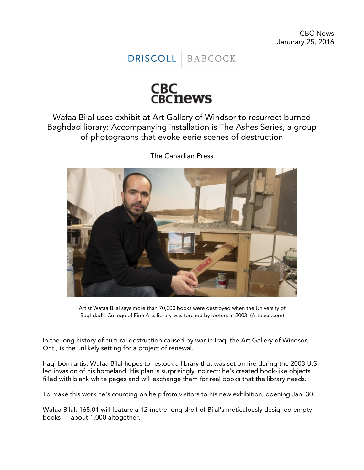**DRISCOLL** BABCOCK



Wafaa Bilal uses exhibit at Art Gallery of Windsor to resurrect burned Baghdad library: Accompanying installation is The Ashes Series, a group of photographs that evoke eerie scenes of destruction



The Canadian Press

Artist Wafaa Bilal says more than 70,000 books were destroyed when the University of Baghdad's College of Fine Arts library was torched by looters in 2003. (Artpace.com)

In the long history of cultural destruction caused by war in Iraq, the Art Gallery of Windsor, Ont., is the unlikely setting for a project of renewal.

Iraqi-born artist Wafaa Bilal hopes to restock a library that was set on fire during the 2003 U.S. led invasion of his homeland. His plan is surprisingly indirect: he's created book-like objects filled with blank white pages and will exchange them for real books that the library needs.

To make this work he's counting on help from visitors to his new exhibition, opening Jan. 30.

Wafaa Bilal: 168:01 will feature a 12-metre-long shelf of Bilal's meticulously designed empty books — about 1,000 altogether.